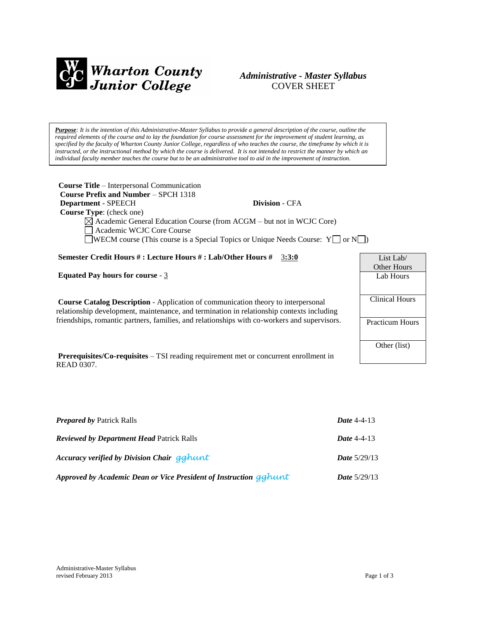

# *Administrative - Master Syllabus*  COVER SHEET

*Purpose: It is the intention of this Administrative-Master Syllabus to provide a general description of the course, outline the required elements of the course and to lay the foundation for course assessment for the improvement of student learning, as specified by the faculty of Wharton County Junior College, regardless of who teaches the course, the timeframe by which it is instructed, or the instructional method by which the course is delivered. It is not intended to restrict the manner by which an individual faculty member teaches the course but to be an administrative tool to aid in the improvement of instruction.*

| <b>Course Title – Interpersonal Communication</b>                                                  |                       |                    |  |  |
|----------------------------------------------------------------------------------------------------|-----------------------|--------------------|--|--|
| <b>Course Prefix and Number – SPCH 1318</b>                                                        |                       |                    |  |  |
| <b>Department - SPEECH</b>                                                                         | <b>Division - CFA</b> |                    |  |  |
| <b>Course Type:</b> (check one)                                                                    |                       |                    |  |  |
| $\boxtimes$ Academic General Education Course (from ACGM – but not in WCJC Core)                   |                       |                    |  |  |
| Academic WCJC Core Course                                                                          |                       |                    |  |  |
| $\Box$ WECM course (This course is a Special Topics or Unique Needs Course: $Y \Box$ or $N \Box$ ) |                       |                    |  |  |
|                                                                                                    |                       |                    |  |  |
| Semester Credit Hours #: Lecture Hours #: Lab/Other Hours #                                        | 3:3:0                 | List Lab/          |  |  |
|                                                                                                    |                       | <b>Other Hours</b> |  |  |
| <b>Equated Pay hours for course - 3</b>                                                            |                       | Lab Hours          |  |  |

**Course Catalog Description** - Application of communication theory to interpersonal relationship development, maintenance, and termination in relationship contexts including friendships, romantic partners, families, and relationships with co-workers and supervisors.

**Prerequisites/Co-requisites** – TSI reading requirement met or concurrent enrollment in READ 0307.

| List Lab/              |  |  |
|------------------------|--|--|
| Other Hours            |  |  |
| Lab Hours              |  |  |
|                        |  |  |
| <b>Clinical Hours</b>  |  |  |
|                        |  |  |
| <b>Practicum Hours</b> |  |  |
|                        |  |  |
| Other (list)           |  |  |
|                        |  |  |

| <b>Prepared by Patrick Ralls</b>                                  | <b>Date</b> 4-4-13    |
|-------------------------------------------------------------------|-----------------------|
| <b>Reviewed by Department Head Patrick Ralls</b>                  | <b>Date 4-4-13</b>    |
| Accuracy verified by Division Chair gghunt                        | <b>Date</b> $5/29/13$ |
| Approved by Academic Dean or Vice President of Instruction gghunt | <i>Date</i> $5/29/13$ |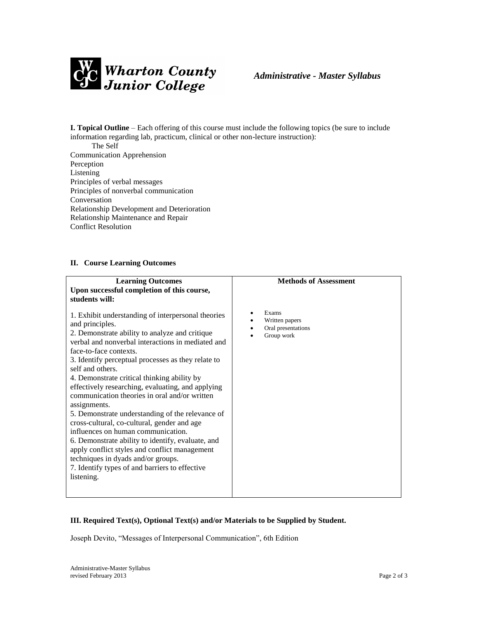

**I. Topical Outline** – Each offering of this course must include the following topics (be sure to include information regarding lab, practicum, clinical or other non-lecture instruction):

 The Self Communication Apprehension Perception Listening Principles of verbal messages Principles of nonverbal communication Conversation Relationship Development and Deterioration Relationship Maintenance and Repair Conflict Resolution

#### **II. Course Learning Outcomes**

| <b>Learning Outcomes</b><br>Upon successful completion of this course,<br>students will:                                                                                                                                                                                                                                                                                                                                                                                                                                                                                                                                                                                                                                                                                                                   | <b>Methods of Assessment</b>                                |
|------------------------------------------------------------------------------------------------------------------------------------------------------------------------------------------------------------------------------------------------------------------------------------------------------------------------------------------------------------------------------------------------------------------------------------------------------------------------------------------------------------------------------------------------------------------------------------------------------------------------------------------------------------------------------------------------------------------------------------------------------------------------------------------------------------|-------------------------------------------------------------|
| 1. Exhibit understanding of interpersonal theories<br>and principles.<br>2. Demonstrate ability to analyze and critique<br>verbal and nonverbal interactions in mediated and<br>face-to-face contexts.<br>3. Identify perceptual processes as they relate to<br>self and others.<br>4. Demonstrate critical thinking ability by<br>effectively researching, evaluating, and applying<br>communication theories in oral and/or written<br>assignments.<br>5. Demonstrate understanding of the relevance of<br>cross-cultural, co-cultural, gender and age<br>influences on human communication.<br>6. Demonstrate ability to identify, evaluate, and<br>apply conflict styles and conflict management<br>techniques in dyads and/or groups.<br>7. Identify types of and barriers to effective<br>listening. | Exams<br>Written papers<br>Oral presentations<br>Group work |

# **III. Required Text(s), Optional Text(s) and/or Materials to be Supplied by Student.**

Joseph Devito, "Messages of Interpersonal Communication", 6th Edition